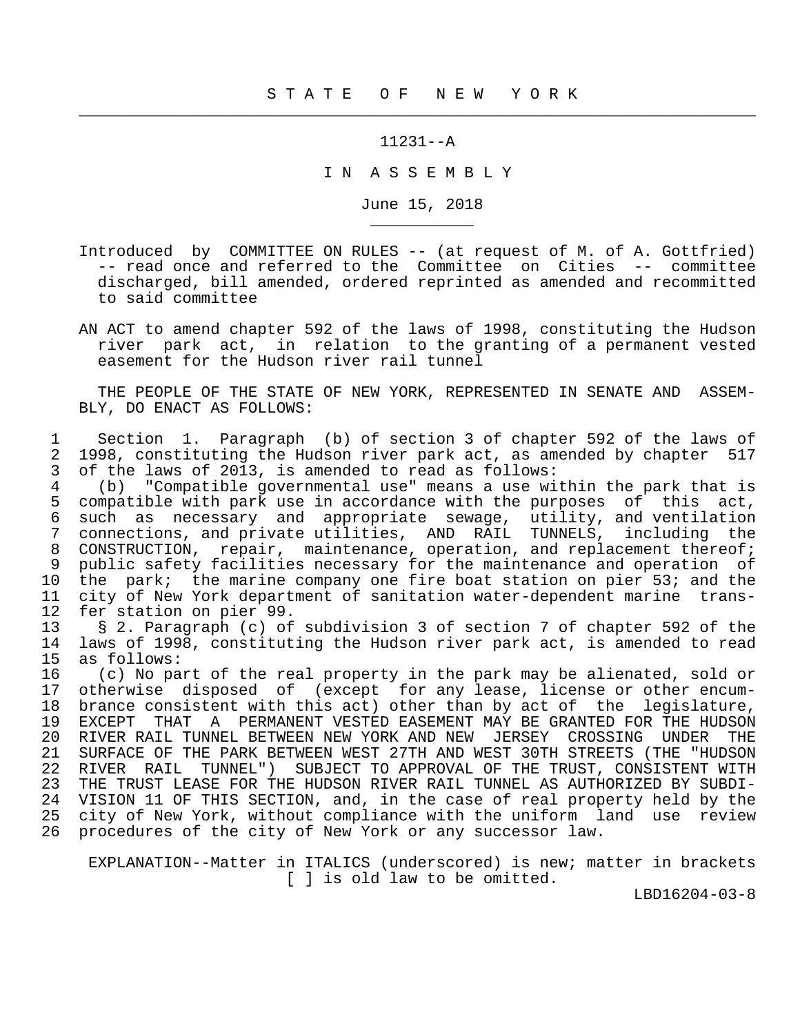11231--A

 $\frac{1}{2}$  , and the contribution of the contribution of the contribution of the contribution of the contribution of the contribution of the contribution of the contribution of the contribution of the contribution of the c

\_\_\_\_\_\_\_\_\_\_\_

I N A S S E M B L Y

June 15, 2018

- Introduced by COMMITTEE ON RULES -- (at request of M. of A. Gottfried) -- read once and referred to the Committee on Cities -- committee discharged, bill amended, ordered reprinted as amended and recommitted to said committee
- AN ACT to amend chapter 592 of the laws of 1998, constituting the Hudson river park act, in relation to the granting of a permanent vested easement for the Hudson river rail tunnel

 THE PEOPLE OF THE STATE OF NEW YORK, REPRESENTED IN SENATE AND ASSEM- BLY, DO ENACT AS FOLLOWS:

 1 Section 1. Paragraph (b) of section 3 of chapter 592 of the laws of 2 1998, constituting the Hudson river park act, as amended by chapter 517<br>3 of the laws of 2013, is amended to read as follows: 3 of the laws of 2013, is amended to read as follows:

 4 (b) "Compatible governmental use" means a use within the park that is 5 compatible with park use in accordance with the purposes of this act,<br>6 such as necessary and appropriate sewage, utility, and ventilation 6 such as necessary and appropriate sewage, utility, and ventilation 7 connections, and private utilities, AND RAIL TUNNELS, including the 8 CONSTRUCTION, repair, maintenance, operation, and replacement thereof; 9 public safety facilities necessary for the maintenance and operation of<br>10 the park; the marine company one fire boat station on pier 53; and the 10 the park; the marine company one fire boat station on pier 53; and the<br>11 city of New York department of sanitation water-dependent marine trans-11 city of New York department of sanitation water-dependent marine trans-<br>12 fer station on pier 99. 12 fer station on pier 99.<br>13 § 2. Paragraph (c) of

13 § 2. Paragraph (c) of subdivision 3 of section 7 of chapter 592 of the<br>14 laws of 1998, constituting the Hudson river park act, is amended to read 14 laws of 1998, constituting the Hudson river park act, is amended to read 15 as follows:<br>16 (c) No pa

 16 (c) No part of the real property in the park may be alienated, sold or 17 otherwise disposed of (except for any lease, license or other encum-<br>18 brance consistent with this act) other than by act of the legislature, 18 brance consistent with this act) other than by act of the legislature,<br>19 EXCEPT THAT A PERMANENT VESTED EASEMENT MAY BE GRANTED FOR THE HUDSON 19 EXCEPT THAT A PERMANENT VESTED EASEMENT MAY BE GRANTED FOR THE HUDSON<br>20 RIVER RAIL TUNNEL BETWEEN NEW YORK AND NEW JERSEY CROSSING UNDER THE 20 RIVER RAIL TUNNEL BETWEEN NEW YORK AND NEW JERSEY CROSSING UNDER THE<br>21 SURFACE OF THE PARK BETWEEN WEST 27TH AND WEST 30TH STREETS (THE "HUDSON 21 SURFACE OF THE PARK BETWEEN WEST 27TH AND WEST 30TH STREETS (THE "HUDSON 22 RIVER RAIL TUNNEL") SUBJECT TO APPROVAL OF THE TRUST, CONSISTENT WITH 22 RIVER RAIL TUNNEL") SUBJECT TO APPROVAL OF THE TRUST, CONSISTENT WITH 23 THE TRUST LEASE FOR THE HUDSON RIVER RAIL TUNNEL AS AUTHORIZED BY SUBDI-THE TRUST LEASE FOR THE HUDSON RIVER RAIL TUNNEL AS AUTHORIZED BY SUBDI-24 VISION 11 OF THIS SECTION, and, in the case of real property held by the<br>25 city of New York, without compliance with the uniform land use review city of New York, without compliance with the uniform land use review 26 procedures of the city of New York or any successor law.

 EXPLANATION--Matter in ITALICS (underscored) is new; matter in brackets [ ] is old law to be omitted.

LBD16204-03-8